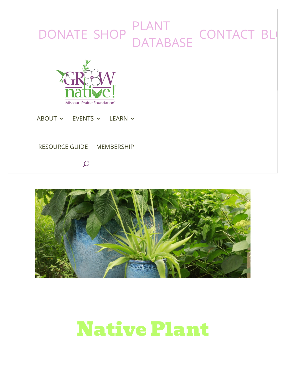#### !  $\overline{\mathbf{C}}$ [DONATE](https://grownative.org/donate/) [S](https://grownative.org/about/)[HO](https://store.moprairie.org/)[P](https://grownative.org/events/) PLANT [DAT](https://grownative.org/native-plant-database/)[AB](https://grownative.org/learn/)[ASE](https://grownative.org/native-plant-database/) [CONTACT](https://grownative.org/contact-us/) [BLO](https://grownative.org/blog/)



[ABOUT](https://grownative.org/about/)  $\sim$  [EVENTS](https://grownative.org/events/)  $\sim$  [LEARN](https://grownative.org/learn/)  $\sim$ 

#### [RESOURCE GUIDE](https://grownative.org/resource-guide/) [MEMBERSHIP](https://grownative.org/professional-membership/)

 $\Omega$ 



# Native Plant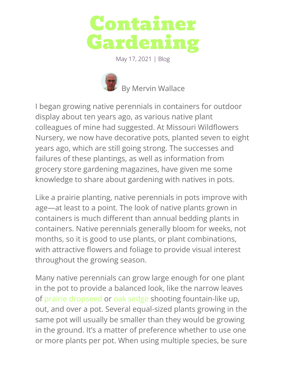

May 17, 2021 | [Blog](https://grownative.org/category/blog/)



I began growing native perennials in containers for outdoor display about ten years ago, as various native plant colleagues of mine had suggested. At Missouri Wildflowers Nursery, we now have decorative pots, planted seven to eight years ago, which are still going strong. The successes and failures of these plantings, as well as information from grocery store gardening magazines, have given me some knowledge to share about gardening with natives in pots.

Like a prairie planting, native perennials in pots improve with age—at least to a point. The look of native plants grown in containers is much different than annual bedding plants in containers. Native perennials generally bloom for weeks, not months, so it is good to use plants, or plant combinations, with attractive flowers and foliage to provide visual interest throughout the growing season.

Many native perennials can grow large enough for one plant in the pot to provide a balanced look, like the narrow leaves of [prairie dropseed](https://grownative.org/native_plants/prairie-dropseed/) or [oak sedge](https://grownative.org/native_plants/oak-sedge/) shooting fountain-like up, out, and over a pot. Several equal-sized plants growing in the same pot will usually be smaller than they would be growing in the ground. It's a matter of preference whether to use one or more plants per pot. When using multiple species, be sure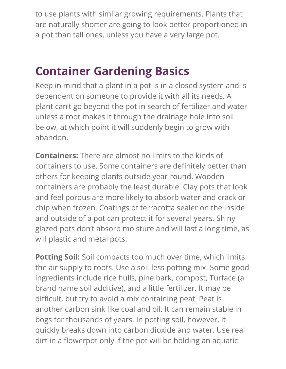to use plants with similar growing requirements. Plants that are naturally shorter are going to look better proportioned in a pot than tall ones, unless you have a very large pot.

### **Container Gardening Basics**

Keep in mind that a plant in a pot is in a closed system and is dependent on someone to provide it with all its needs. A plant can't go beyond the pot in search of fertilizer and water unless a root makes it through the drainage hole into soil below, at which point it will suddenly begin to grow with abandon.

**Containers:** There are almost no limits to the kinds of containers to use. Some containers are definitely better than others for keeping plants outside year-round. Wooden containers are probably the least durable. Clay pots that look and feel porous are more likely to absorb water and crack or chip when frozen. Coatings of terracotta sealer on the inside and outside of a pot can protect it for several years. Shiny glazed pots don't absorb moisture and will last a long time, as will plastic and metal pots.

**Potting Soil:** Soil compacts too much over time, which limits the air supply to roots. Use a soil-less potting mix. Some good ingredients include rice hulls, pine bark, compost, Turface (a brand name soil additive), and a little fertilizer. It may be difficult, but try to avoid a mix containing peat. Peat is another carbon sink like coal and oil. It can remain stable in bogs for thousands of years. In potting soil, however, it quickly breaks down into carbon dioxide and water. Use real dirt in a flowerpot only if the pot will be holding an aquatic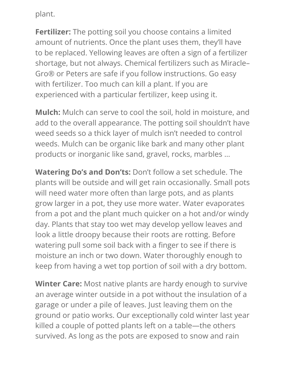plant.

**Fertilizer:** The potting soil you choose contains a limited amount of nutrients. Once the plant uses them, they'll have to be replaced. Yellowing leaves are often a sign of a fertilizer shortage, but not always. Chemical fertilizers such as Miracle– Gro® or Peters are safe if you follow instructions. Go easy with fertilizer. Too much can kill a plant. If you are experienced with a particular fertilizer, keep using it.

**Mulch:** Mulch can serve to cool the soil, hold in moisture, and add to the overall appearance. The potting soil shouldn't have weed seeds so a thick layer of mulch isn't needed to control weeds. Mulch can be organic like bark and many other plant products or inorganic like sand, gravel, rocks, marbles …

**Watering Do's and Don'ts:** Don't follow a set schedule. The plants will be outside and will get rain occasionally. Small pots will need water more often than large pots, and as plants grow larger in a pot, they use more water. Water evaporates from a pot and the plant much quicker on a hot and/or windy day. Plants that stay too wet may develop yellow leaves and look a little droopy because their roots are rotting. Before watering pull some soil back with a finger to see if there is moisture an inch or two down. Water thoroughly enough to keep from having a wet top portion of soil with a dry bottom.

**Winter Care:** Most native plants are hardy enough to survive an average winter outside in a pot without the insulation of a garage or under a pile of leaves. Just leaving them on the ground or patio works. Our exceptionally cold winter last year killed a couple of potted plants left on a table—the others survived. As long as the pots are exposed to snow and rain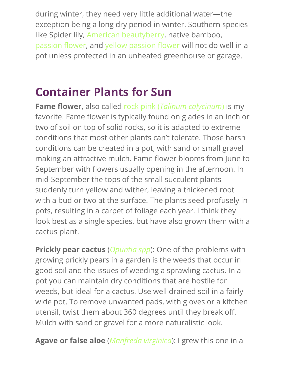during winter, they need very little additional water—the exception being a long dry period in winter. Southern species like Spider lily, [American beautyberry,](https://grownative.org/native_plants/american-beautyberry/) native bamboo, passion flower, and yellow passion flower will not do well in a pot unless protected in an unheated greenhouse or garage.

### **Container Plants for Sun**

**Fame flower**, also called rock pink (*[Talinum calycinum](https://grownative.org/native_plants/fame-flower-rock-pink/)*) is my favorite. Fame flower is typically found on glades in an inch or two of soil on top of solid rocks, so it is adapted to extreme conditions that most other plants can't tolerate. Those harsh conditions can be created in a pot, with sand or small gravel making an attractive mulch. Fame flower blooms from June to September with flowers usually opening in the afternoon. In mid-September the tops of the small succulent plants suddenly turn yellow and wither, leaving a thickened root with a bud or two at the surface. The plants seed profusely in pots, resulting in a carpet of foliage each year. I think they look best as a single species, but have also grown them with a cactus plant.

**Prickly pear cactus** (*[Opuntia spp](https://grownative.org/native_plants/prickly-pear/)*): One of the problems with growing prickly pears in a garden is the weeds that occur in good soil and the issues of weeding a sprawling cactus. In a pot you can maintain dry conditions that are hostile for weeds, but ideal for a cactus. Use well drained soil in a fairly wide pot. To remove unwanted pads, with gloves or a kitchen utensil, twist them about 360 degrees until they break off. Mulch with sand or gravel for a more naturalistic look.

**Agave or false aloe** (*[Manfreda virginica](https://grownative.org/native_plants/agave-false-aloe/)*): I grew this one in a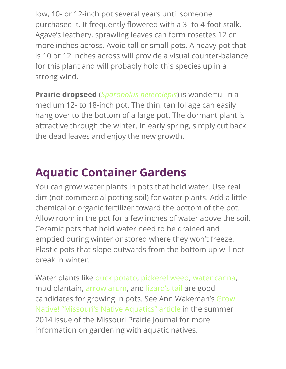low, 10- or 12-inch pot several years until someone purchased it. It frequently flowered with a 3- to 4-foot stalk. Agave's leathery, sprawling leaves can form rosettes 12 or more inches across. Avoid tall or small pots. A heavy pot that is 10 or 12 inches across will provide a visual counter-balance for this plant and will probably hold this species up in a strong wind.

**Prairie dropseed** (*[Sporobolus heterolepis](https://grownative.org/native_plants/prairie-dropseed/)*) is wonderful in a medium 12- to 18-inch pot. The thin, tan foliage can easily hang over to the bottom of a large pot. The dormant plant is attractive through the winter. In early spring, simply cut back the dead leaves and enjoy the new growth.

### **Aquatic Container Gardens**

You can grow water plants in pots that hold water. Use real dirt (not commercial potting soil) for water plants. Add a little chemical or organic fertilizer toward the bottom of the pot. Allow room in the pot for a few inches of water above the soil. Ceramic pots that hold water need to be drained and emptied during winter or stored where they won't freeze. Plastic pots that slope outwards from the bottom up will not break in winter.

Water plants like [duck potato](https://grownative.org/native_plants/arrowhead-duck-potato/), [pickerel weed](https://grownative.org/native_plants/pickerel-plant/), [water canna,](https://grownative.org/native_plants/water-canna/) mud plantain, [arrow arum,](https://grownative.org/native_plants/arrow-arum/) an[d lizard's tail](https://grownative.org/native_plants/lizards-tail/) are good [candidates for growing in pots. See Ann Wakeman's Grow](https://drive.google.com/file/d/1wbPCi8n72MrUBc_ra1dyAQ2Hg8tSYU00/view) Native! "Missouri's Native Aquatics" article in the summer 2014 issue of the Missouri Prairie Journal for more information on gardening with aquatic natives.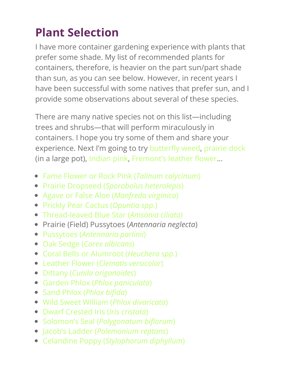### **Plant Selection**

I have more container gardening experience with plants that prefer some shade. My list of recommended plants for containers, therefore, is heavier on the part sun/part shade than sun, as you can see below. However, in recent years I have been successful with some natives that prefer sun, and I provide some observations about several of these species.

There are many native species not on this list—including trees and shrubs—that will perform miraculously in containers. I hope you try some of them and share your experience. Next I'm going to try butterfly weed, [prairie dock](https://grownative.org/native_plants/prairie-dock/) (in a large pot), [Indian pink,](https://grownative.org/native_plants/indian-pink/) Fremont's leather flower...

- [Fame Flower or Rock Pink \(](https://grownative.org/native_plants/fame-flower-rock-pink/)*Talinum calycinum*)
- Prairie Dropseed (*[Sporobolus heterolepis](https://grownative.org/native_plants/prairie-dropseed/)*)
- [Agave or False Aloe \(](https://grownative.org/native_plants/agave-false-aloe/)*Manfreda virginica*)
- [Prickly Pear Cactus \(](https://grownative.org/native_plants/prickly-pear/)*Opuntia spp.*)
- [Thread-leaved Blue Star \(](https://grownative.org/native_plants/thread-leaved-blue-star/)*Amsonia ciliata)*
- Prairie (Field) Pussytoes (*Antennaria neglecta*)
- Pussytoes (*[Antennaria parlinii](https://grownative.org/native_plants/pussytoes/)*)
- Oak Sedge (*[Carex albicans](https://grownative.org/native_plants/oak-sedge/)*)
- [Coral Bells or Alumroot \(](https://grownative.org/native_plants/alum-root-coral-bells/)*Heuchera spp.*)
- Leather Flower (*[Clematis versicolor](https://grownative.org/native_plants/leather-flower-2/)*)
- Dittany (*[Cunila origanoides](https://grownative.org/native_plants/dittany/)*)
- Garden Phlox (*[Phlox paniculata](https://grownative.org/native_plants/garden-phlox/)*)
- [Sand Phlox \(](https://grownative.org/native_plants/sand-phlox/)*Phlox bifida*)
- [Wild Sweet William \(](https://grownative.org/native_plants/wild-sweet-william/)*Phlox divaricata*)
- [Dwarf Crested Iris \(](https://grownative.org/native_plants/crested-iris/)*Iris cristata*)
- **Solomon's Seal (Polygonatum biflorum)**
- Jacob's Ladder (*[Polemonium reptans](https://grownative.org/native_plants/jacobs-ladder/)*)
- Celandine Poppy (*[Stylophorum diphyllum](https://grownative.org/native_plants/celandine-poppy/)*)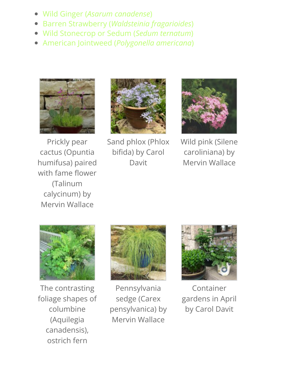- Wild Ginger (*[Asarum canadense](https://grownative.org/native_plants/wild-ginger/)*)
- Barren Strawberry (*[Waldsteinia fragarioides](https://grownative.org/native_plants/barren-strawberry/)*)
- [Wild Stonecrop or Sedum \(](https://grownative.org/native_plants/sedum/)*Sedum ternatum*)  $\bullet$
- American Jointweed (*[Polygonella americana](https://grownative.org/native_plants/american-jointweed/)*)



Prickly pear cactus (Opuntia humifusa) paired with fame flower (Talinum calycinum) by Mervin Wallace



Sand phlox (Phlox bifida) by Carol Davit



Wild pink (Silene caroliniana) by Mervin Wallace



The contrasting foliage shapes of columbine (Aquilegia canadensis), ostrich fern



Pennsylvania sedge (Carex pensylvanica) by Mervin Wallace



Container gardens in April by Carol Davit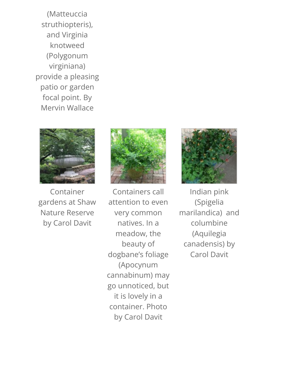(Matteuccia struthiopteris), and Virginia knotweed (Polygonum virginiana) provide a pleasing patio or garden focal point. By Mervin Wallace



Container gardens at Shaw Nature Reserve by Carol Davit



Containers call attention to even very common natives. In a meadow, the beauty of dogbane's foliage (Apocynum cannabinum) may go unnoticed, but it is lovely in a container. Photo by Carol Davit



Indian pink (Spigelia marilandica) and columbine (Aquilegia canadensis) by Carol Davit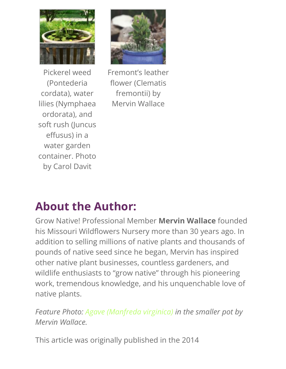



Pickerel weed (Pontederia cordata), water lilies (Nymphaea ordorata), and soft rush (Juncus effusus) in a water garden container. Photo by Carol Davit

Fremont's leather flower (Clematis fremontii) by Mervin Wallace

### **About the Author:**

Grow Native! Professional Member **Mervin Wallace** founded his Missouri Wildflowers Nursery more than 30 years ago. In addition to selling millions of native plants and thousands of pounds of native seed since he began, Mervin has inspired other native plant businesses, countless gardeners, and wildlife enthusiasts to "grow native" through his pioneering work, tremendous knowledge, and his unquenchable love of native plants.

*Feature Photo: [Agave \(Manfreda virginica\)](https://grownative.org/native_plants/agave-false-aloe/) in the smaller pot by Mervin Wallace.*

This article was originally published in the 2014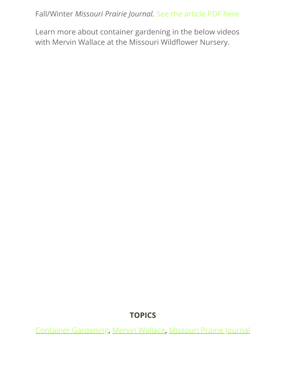Fall/Winter *Missouri Prairie Journal.* [See the article PDF here.](https://drive.google.com/file/d/1vM8YQ9XAjMF7qvg3ZiFbaOW2wQVuFzL3/view?usp=sharing)

Learn more about container gardening in the below videos with Mervin Wallace at the Missouri Wildflower Nursery.

#### **TOPICS**

[Container Gardening](https://grownative.org/tag/container-gardening/), [Mervin Wallace,](https://grownative.org/tag/mervin-wallace/) [Missouri Prairie Journal](https://grownative.org/tag/missouri-prairie-journal/)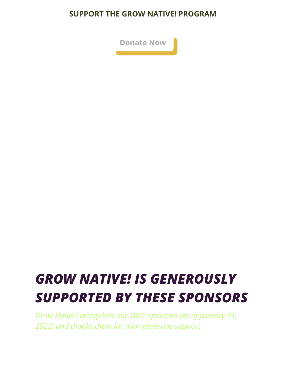#### **SUPPORT THE GROW NATIVE! PROGRAM**



# *GROW NATIVE! IS GENEROUSLY SUPPORTED BY THESE SPONSORS*

*Grow Native! recognizes our 2022 sponsors (as of January 31, 2022) and thanks them for their generous support.*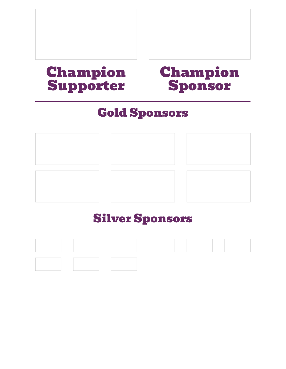### Champion Supporter

### Champion Sponsor

### Gold Sponsors



### Silver Sponsors

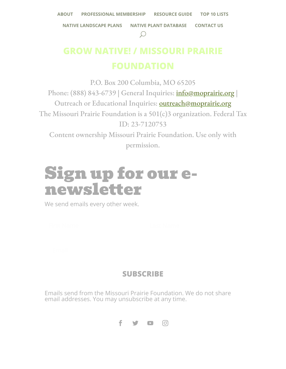# **GROW NATIVE! / MISSOURI PRAIRIE**

P.O. Box 200 Columbia, MO 65205 Phone: (888) 843-6739 | General Inquiries: *info@moprairie.org* | Outreach or Educational Inquiries: [outreach@moprairie.org](mailto:outreach@moprairie.org) The Missouri Prairie Foundation is a 501(c)3 organization. Federal Tax ID: 23-7120753 Content ownership Missouri Prairie Foundation. Use only with permission.

# Sign up for our enewsletter

We send emails every other week.

#### **[SUBSCRIBE](https://grownative.org/2021/05/17/native-plant-container-gardening/%23)**

Emails send from the Missouri Prairie Foundation. We do not share email addresses. You may unsubscribe at any time.